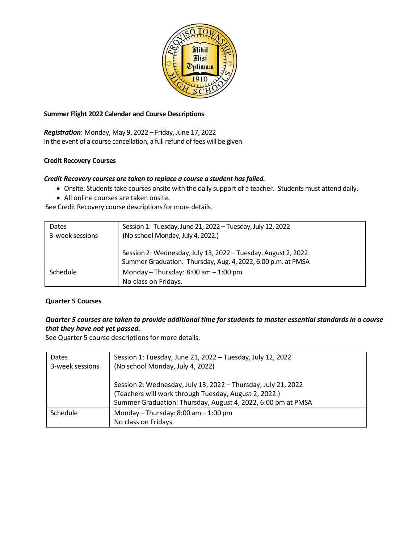

### **Summer Flight 2022 Calendar and Course Descriptions**

*Registration*: Monday, May 9, 2022 – Friday,June 17, 2022 In the event of a course cancellation, a full refund of fees will be given.

# **Credit Recovery Courses**

### *Credit Recovery courses are taken to replace a course a student hasfailed.*

- Onsite: Students take courses onsite with the daily support of a teacher. Students must attend daily.
- All online courses are taken onsite.

See Credit Recovery course descriptions for more details.

| <b>Dates</b><br>3-week sessions | Session 1: Tuesday, June 21, 2022 - Tuesday, July 12, 2022<br>(No school Monday, July 4, 2022.)                                |
|---------------------------------|--------------------------------------------------------------------------------------------------------------------------------|
|                                 | Session 2: Wednesday, July 13, 2022 - Tuesday. August 2, 2022.<br>Summer Graduation: Thursday, Aug. 4, 2022, 6:00 p.m. at PMSA |
| Schedule                        | Monday - Thursday: $8:00$ am $-1:00$ pm<br>No class on Fridays.                                                                |

### **Quarter 5 Courses**

# Quarter 5 courses are taken to provide additional time for students to master essential standards in a course *that they have not yet passed.*

See Quarter 5 course descriptions for more details.

| <b>Dates</b><br>3-week sessions | Session 1: Tuesday, June 21, 2022 - Tuesday, July 12, 2022<br>(No school Monday, July 4, 2022)                                                                                         |
|---------------------------------|----------------------------------------------------------------------------------------------------------------------------------------------------------------------------------------|
|                                 | Session 2: Wednesday, July 13, 2022 - Thursday, July 21, 2022<br>(Teachers will work through Tuesday, August 2, 2022.)<br>Summer Graduation: Thursday, August 4, 2022, 6:00 pm at PMSA |
| Schedule                        | Monday - Thursday: $8:00$ am $-1:00$ pm<br>No class on Fridays.                                                                                                                        |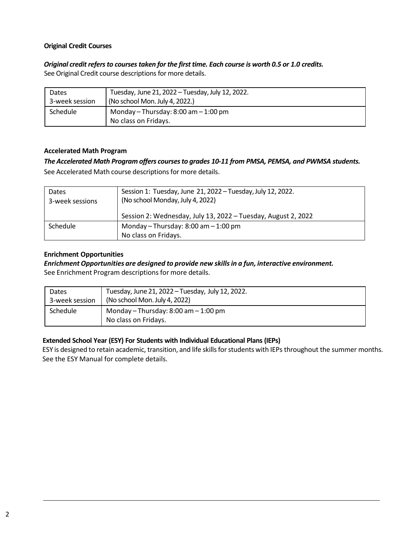### **Original Credit Courses**

# *Original credit refersto coursestaken for the first time. Each course is worth 0.5 or 1.0 credits.*

See Original Credit course descriptions for more details.

| Dates          | Tuesday, June 21, 2022 - Tuesday, July 12, 2022.                |
|----------------|-----------------------------------------------------------------|
| 3-week session | (No school Mon. July 4, 2022.)                                  |
| Schedule       | Monday - Thursday: $8:00$ am $-1:00$ pm<br>No class on Fridays. |

### **Accelerated Math Program**

# *The Accelerated Math Program offers coursesto grades 10-11 from PMSA, PEMSA, and PWMSA students.*

See Accelerated Math course descriptions for more details.

| Dates<br>3-week sessions | Session 1: Tuesday, June 21, 2022 - Tuesday, July 12, 2022.<br>(No school Monday, July 4, 2022) |
|--------------------------|-------------------------------------------------------------------------------------------------|
|                          | Session 2: Wednesday, July 13, 2022 - Tuesday, August 2, 2022                                   |
| <b>Schedule</b>          | Monday - Thursday: $8:00$ am $-1:00$ pm                                                         |
|                          | No class on Fridays.                                                                            |

### **Enrichment Opportunities**

# *EnrichmentOpportunities are designed to provide new skillsin a fun, interactive environment.*

See Enrichment Program descriptions for more details.

| Dates          | Tuesday, June 21, 2022 - Tuesday, July 12, 2022.                |
|----------------|-----------------------------------------------------------------|
| 3-week session | (No school Mon. July 4, 2022)                                   |
| Schedule       | Monday - Thursday: $8:00$ am $-1:00$ pm<br>No class on Fridays. |

# **Extended School Year (ESY) For Students with Individual Educational Plans (IEPs)**

ESY is designed to retain academic, transition, and life skills for students with IEPs throughout the summer months. See the ESY Manual for complete details.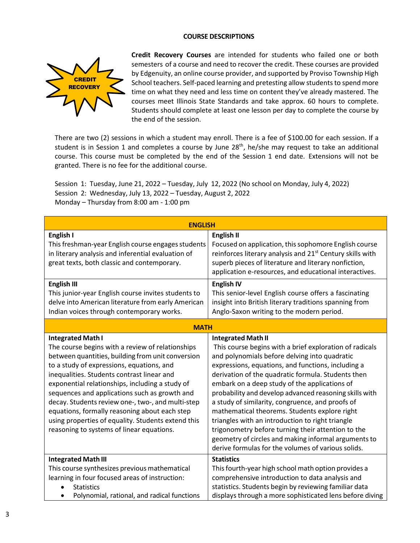#### **COURSE DESCRIPTIONS**



**Credit Recovery Courses** are intended for students who failed one or both semesters of a course and need to recover the credit. These courses are provided by Edgenuity, an online course provider, and supported by Proviso Township High School teachers. Self-paced learning and pretesting allow students to spend more time on what they need and less time on content they've already mastered. The courses meet Illinois State Standards and take approx. 60 hours to complete. Students should complete at least one lesson per day to complete the course by the end of the session.

There are two (2) sessions in which a student may enroll. There is a fee of \$100.00 for each session. If a student is in Session 1 and completes a course by June 28<sup>th</sup>, he/she may request to take an additional course. This course must be completed by the end of the Session 1 end date. Extensions will not be granted. There is no fee for the additional course.

Session 1: Tuesday, June 21, 2022 – Tuesday, July 12, 2022 (No school on Monday, July 4, 2022) Session 2: Wednesday, July 13, 2022 – Tuesday, August 2, 2022 Monday – Thursday from 8:00 am - 1:00 pm

| <b>ENGLISH</b>                                                                                                                                                                                                                                                                                                                                                                                                                                                                                                                            |                                                                                                                                                                                                                                                                                                                                                                                                                                                                                                                                                                                                                                                                                           |  |
|-------------------------------------------------------------------------------------------------------------------------------------------------------------------------------------------------------------------------------------------------------------------------------------------------------------------------------------------------------------------------------------------------------------------------------------------------------------------------------------------------------------------------------------------|-------------------------------------------------------------------------------------------------------------------------------------------------------------------------------------------------------------------------------------------------------------------------------------------------------------------------------------------------------------------------------------------------------------------------------------------------------------------------------------------------------------------------------------------------------------------------------------------------------------------------------------------------------------------------------------------|--|
| English I<br>This freshman-year English course engages students<br>in literary analysis and inferential evaluation of<br>great texts, both classic and contemporary.                                                                                                                                                                                                                                                                                                                                                                      | <b>English II</b><br>Focused on application, this sophomore English course<br>reinforces literary analysis and 21 <sup>st</sup> Century skills with<br>superb pieces of literature and literary nonfiction,<br>application e-resources, and educational interactives.                                                                                                                                                                                                                                                                                                                                                                                                                     |  |
| <b>English III</b><br>This junior-year English course invites students to<br>delve into American literature from early American<br>Indian voices through contemporary works.                                                                                                                                                                                                                                                                                                                                                              | <b>English IV</b><br>This senior-level English course offers a fascinating<br>insight into British literary traditions spanning from<br>Anglo-Saxon writing to the modern period.                                                                                                                                                                                                                                                                                                                                                                                                                                                                                                         |  |
| <b>MATH</b>                                                                                                                                                                                                                                                                                                                                                                                                                                                                                                                               |                                                                                                                                                                                                                                                                                                                                                                                                                                                                                                                                                                                                                                                                                           |  |
| <b>Integrated Math I</b><br>The course begins with a review of relationships<br>between quantities, building from unit conversion<br>to a study of expressions, equations, and<br>inequalities. Students contrast linear and<br>exponential relationships, including a study of<br>sequences and applications such as growth and<br>decay. Students review one-, two-, and multi-step<br>equations, formally reasoning about each step<br>using properties of equality. Students extend this<br>reasoning to systems of linear equations. | <b>Integrated Math II</b><br>This course begins with a brief exploration of radicals<br>and polynomials before delving into quadratic<br>expressions, equations, and functions, including a<br>derivation of the quadratic formula. Students then<br>embark on a deep study of the applications of<br>probability and develop advanced reasoning skills with<br>a study of similarity, congruence, and proofs of<br>mathematical theorems. Students explore right<br>triangles with an introduction to right triangle<br>trigonometry before turning their attention to the<br>geometry of circles and making informal arguments to<br>derive formulas for the volumes of various solids. |  |
| <b>Integrated Math III</b><br>This course synthesizes previous mathematical<br>learning in four focused areas of instruction:<br><b>Statistics</b><br>Polynomial, rational, and radical functions                                                                                                                                                                                                                                                                                                                                         | <b>Statistics</b><br>This fourth-year high school math option provides a<br>comprehensive introduction to data analysis and<br>statistics. Students begin by reviewing familiar data<br>displays through a more sophisticated lens before diving                                                                                                                                                                                                                                                                                                                                                                                                                                          |  |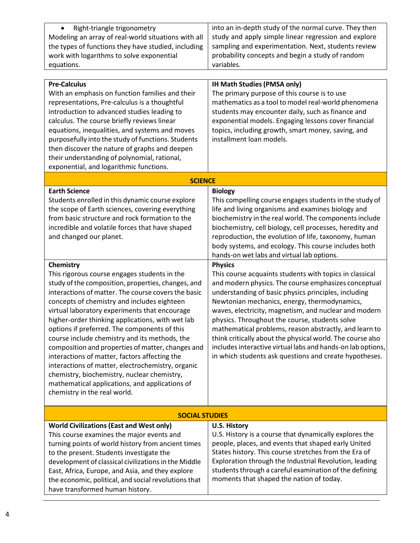| Right-triangle trigonometry                         | into an in-depth study of the normal curve. They then |
|-----------------------------------------------------|-------------------------------------------------------|
| Modeling an array of real-world situations with all | study and apply simple linear regression and explore  |
| the types of functions they have studied, including | sampling and experimentation. Next, students review   |
| work with logarithms to solve exponential           | probability concepts and begin a study of random      |
| equations.                                          | variables.                                            |

| <b>Pre-Calculus</b><br>With an emphasis on function families and their<br>representations, Pre-calculus is a thoughtful<br>introduction to advanced studies leading to<br>calculus. The course briefly reviews linear<br>equations, inequalities, and systems and moves<br>purposefully into the study of functions. Students<br>then discover the nature of graphs and deepen<br>their understanding of polynomial, rational,<br>exponential, and logarithmic functions.                                                                                                                                                                                                                                               | <b>IH Math Studies (PMSA only)</b><br>The primary purpose of this course is to use<br>mathematics as a tool to model real-world phenomena<br>students may encounter daily, such as finance and<br>exponential models. Engaging lessons cover financial<br>topics, including growth, smart money, saving, and<br>installment loan models.                                                                                                                                                                                                                                                              |  |
|-------------------------------------------------------------------------------------------------------------------------------------------------------------------------------------------------------------------------------------------------------------------------------------------------------------------------------------------------------------------------------------------------------------------------------------------------------------------------------------------------------------------------------------------------------------------------------------------------------------------------------------------------------------------------------------------------------------------------|-------------------------------------------------------------------------------------------------------------------------------------------------------------------------------------------------------------------------------------------------------------------------------------------------------------------------------------------------------------------------------------------------------------------------------------------------------------------------------------------------------------------------------------------------------------------------------------------------------|--|
| <b>SCIENCE</b>                                                                                                                                                                                                                                                                                                                                                                                                                                                                                                                                                                                                                                                                                                          |                                                                                                                                                                                                                                                                                                                                                                                                                                                                                                                                                                                                       |  |
| <b>Earth Science</b><br>Students enrolled in this dynamic course explore<br>the scope of Earth sciences, covering everything<br>from basic structure and rock formation to the<br>incredible and volatile forces that have shaped<br>and changed our planet.                                                                                                                                                                                                                                                                                                                                                                                                                                                            | <b>Biology</b><br>This compelling course engages students in the study of<br>life and living organisms and examines biology and<br>biochemistry in the real world. The components include<br>biochemistry, cell biology, cell processes, heredity and<br>reproduction, the evolution of life, taxonomy, human<br>body systems, and ecology. This course includes both<br>hands-on wet labs and virtual lab options.                                                                                                                                                                                   |  |
| Chemistry<br>This rigorous course engages students in the<br>study of the composition, properties, changes, and<br>interactions of matter. The course covers the basic<br>concepts of chemistry and includes eighteen<br>virtual laboratory experiments that encourage<br>higher-order thinking applications, with wet lab<br>options if preferred. The components of this<br>course include chemistry and its methods, the<br>composition and properties of matter, changes and<br>interactions of matter, factors affecting the<br>interactions of matter, electrochemistry, organic<br>chemistry, biochemistry, nuclear chemistry,<br>mathematical applications, and applications of<br>chemistry in the real world. | <b>Physics</b><br>This course acquaints students with topics in classical<br>and modern physics. The course emphasizes conceptual<br>understanding of basic physics principles, including<br>Newtonian mechanics, energy, thermodynamics,<br>waves, electricity, magnetism, and nuclear and modern<br>physics. Throughout the course, students solve<br>mathematical problems, reason abstractly, and learn to<br>think critically about the physical world. The course also<br>includes interactive virtual labs and hands-on lab options,<br>in which students ask questions and create hypotheses. |  |
| <b>SOCIAL STUDIES</b>                                                                                                                                                                                                                                                                                                                                                                                                                                                                                                                                                                                                                                                                                                   |                                                                                                                                                                                                                                                                                                                                                                                                                                                                                                                                                                                                       |  |
| <b>World Civilizations (East and West only)</b><br>This course examines the major events and<br>turning points of world history from ancient times<br>to the present. Students investigate the<br>development of classical civilizations in the Middle<br>East, Africa, Europe, and Asia, and they explore<br>the economic, political, and social revolutions that<br>have transformed human history.                                                                                                                                                                                                                                                                                                                   | <b>U.S. History</b><br>U.S. History is a course that dynamically explores the<br>people, places, and events that shaped early United<br>States history. This course stretches from the Era of<br>Exploration through the Industrial Revolution, leading<br>students through a careful examination of the defining<br>moments that shaped the nation of today.                                                                                                                                                                                                                                         |  |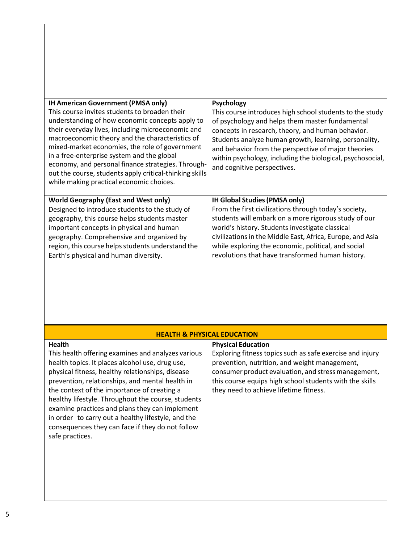| IH American Government (PMSA only)<br>This course invites students to broaden their<br>understanding of how economic concepts apply to<br>their everyday lives, including microeconomic and<br>macroeconomic theory and the characteristics of<br>mixed-market economies, the role of government<br>in a free-enterprise system and the global<br>economy, and personal finance strategies. Through-<br>out the course, students apply critical-thinking skills<br>while making practical economic choices. | Psychology<br>This course introduces high school students to the study<br>of psychology and helps them master fundamental<br>concepts in research, theory, and human behavior.<br>Students analyze human growth, learning, personality,<br>and behavior from the perspective of major theories<br>within psychology, including the biological, psychosocial,<br>and cognitive perspectives. |
|-------------------------------------------------------------------------------------------------------------------------------------------------------------------------------------------------------------------------------------------------------------------------------------------------------------------------------------------------------------------------------------------------------------------------------------------------------------------------------------------------------------|---------------------------------------------------------------------------------------------------------------------------------------------------------------------------------------------------------------------------------------------------------------------------------------------------------------------------------------------------------------------------------------------|
| <b>World Geography (East and West only)</b><br>Designed to introduce students to the study of<br>geography, this course helps students master<br>important concepts in physical and human<br>geography. Comprehensive and organized by<br>region, this course helps students understand the<br>Earth's physical and human diversity.                                                                                                                                                                        | <b>IH Global Studies (PMSA only)</b><br>From the first civilizations through today's society,<br>students will embark on a more rigorous study of our<br>world's history. Students investigate classical<br>civilizations in the Middle East, Africa, Europe, and Asia<br>while exploring the economic, political, and social<br>revolutions that have transformed human history.           |
| <b>HEALTH &amp; PHYSICAL EDUCATION</b><br><b>Health</b>                                                                                                                                                                                                                                                                                                                                                                                                                                                     | <b>Physical Education</b>                                                                                                                                                                                                                                                                                                                                                                   |
| This health offering examines and analyzes various<br>health topics. It places alcohol use, drug use,<br>physical fitness, healthy relationships, disease<br>prevention, relationships, and mental health in<br>the context of the importance of creating a<br>healthy lifestyle. Throughout the course, students<br>examine practices and plans they can implement<br>in order to carry out a healthy lifestyle, and the<br>consequences they can face if they do not follow<br>safe practices.            | Exploring fitness topics such as safe exercise and injury<br>prevention, nutrition, and weight management,<br>consumer product evaluation, and stress management,<br>this course equips high school students with the skills<br>they need to achieve lifetime fitness.                                                                                                                      |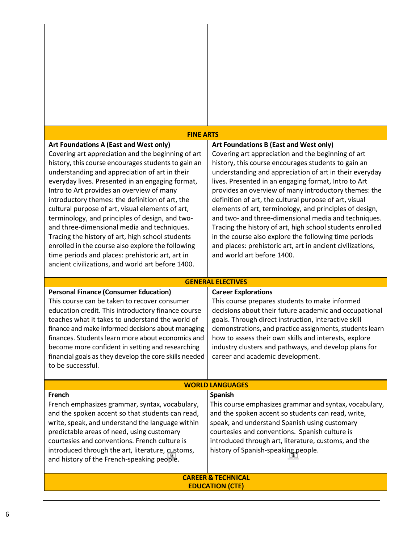| <b>FINE ARTS</b>                                                                                                                                                                                                                                                                                                                                                                                                                                                                                                                                                                                                                                                                                                                  |                                                                                                                                                                                                                                                                                                                                                                                                                                                                                                                                                                                                                                                                                                                                |  |
|-----------------------------------------------------------------------------------------------------------------------------------------------------------------------------------------------------------------------------------------------------------------------------------------------------------------------------------------------------------------------------------------------------------------------------------------------------------------------------------------------------------------------------------------------------------------------------------------------------------------------------------------------------------------------------------------------------------------------------------|--------------------------------------------------------------------------------------------------------------------------------------------------------------------------------------------------------------------------------------------------------------------------------------------------------------------------------------------------------------------------------------------------------------------------------------------------------------------------------------------------------------------------------------------------------------------------------------------------------------------------------------------------------------------------------------------------------------------------------|--|
| Art Foundations A (East and West only)<br>Covering art appreciation and the beginning of art<br>history, this course encourages students to gain an<br>understanding and appreciation of art in their<br>everyday lives. Presented in an engaging format,<br>Intro to Art provides an overview of many<br>introductory themes: the definition of art, the<br>cultural purpose of art, visual elements of art,<br>terminology, and principles of design, and two-<br>and three-dimensional media and techniques.<br>Tracing the history of art, high school students<br>enrolled in the course also explore the following<br>time periods and places: prehistoric art, art in<br>ancient civilizations, and world art before 1400. | Art Foundations B (East and West only)<br>Covering art appreciation and the beginning of art<br>history, this course encourages students to gain an<br>understanding and appreciation of art in their everyday<br>lives. Presented in an engaging format, Intro to Art<br>provides an overview of many introductory themes: the<br>definition of art, the cultural purpose of art, visual<br>elements of art, terminology, and principles of design,<br>and two- and three-dimensional media and techniques.<br>Tracing the history of art, high school students enrolled<br>in the course also explore the following time periods<br>and places: prehistoric art, art in ancient civilizations,<br>and world art before 1400. |  |
|                                                                                                                                                                                                                                                                                                                                                                                                                                                                                                                                                                                                                                                                                                                                   | <b>GENERAL ELECTIVES</b>                                                                                                                                                                                                                                                                                                                                                                                                                                                                                                                                                                                                                                                                                                       |  |
| <b>Personal Finance (Consumer Education)</b><br>This course can be taken to recover consumer<br>education credit. This introductory finance course<br>teaches what it takes to understand the world of<br>finance and make informed decisions about managing<br>finances. Students learn more about economics and<br>become more confident in setting and researching<br>financial goals as they develop the core skills needed<br>to be successful.                                                                                                                                                                                                                                                                              | <b>Career Explorations</b><br>This course prepares students to make informed<br>decisions about their future academic and occupational<br>goals. Through direct instruction, interactive skill<br>demonstrations, and practice assignments, students learn<br>how to assess their own skills and interests, explore<br>industry clusters and pathways, and develop plans for<br>career and academic development.                                                                                                                                                                                                                                                                                                               |  |
| <b>WORLD LANGUAGES</b>                                                                                                                                                                                                                                                                                                                                                                                                                                                                                                                                                                                                                                                                                                            |                                                                                                                                                                                                                                                                                                                                                                                                                                                                                                                                                                                                                                                                                                                                |  |
| French<br>French emphasizes grammar, syntax, vocabulary,<br>and the spoken accent so that students can read,<br>write, speak, and understand the language within<br>predictable areas of need, using customary<br>courtesies and conventions. French culture is<br>introduced through the art, literature, customs,<br>and history of the French-speaking people.                                                                                                                                                                                                                                                                                                                                                                 | <b>Spanish</b><br>This course emphasizes grammar and syntax, vocabulary,<br>and the spoken accent so students can read, write,<br>speak, and understand Spanish using customary<br>courtesies and conventions. Spanish culture is<br>introduced through art, literature, customs, and the<br>history of Spanish-speaking people.                                                                                                                                                                                                                                                                                                                                                                                               |  |
|                                                                                                                                                                                                                                                                                                                                                                                                                                                                                                                                                                                                                                                                                                                                   | <b>CAREER &amp; TECHNICAL</b><br><b>EDUCATION (CTE)</b>                                                                                                                                                                                                                                                                                                                                                                                                                                                                                                                                                                                                                                                                        |  |

 $\mathbf{I}$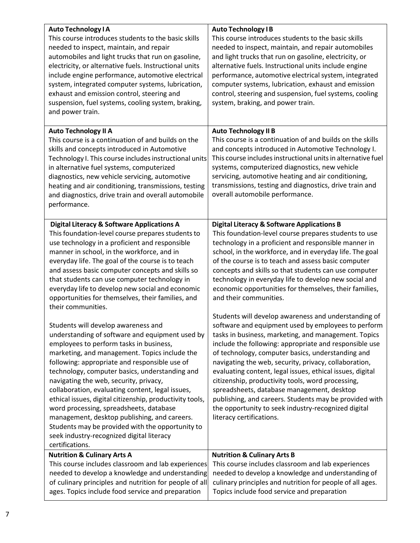| <b>Auto Technology IA</b><br>This course introduces students to the basic skills<br>needed to inspect, maintain, and repair<br>automobiles and light trucks that run on gasoline,<br>electricity, or alternative fuels. Instructional units<br>include engine performance, automotive electrical<br>system, integrated computer systems, lubrication,<br>exhaust and emission control, steering and<br>suspension, fuel systems, cooling system, braking,<br>and power train.                                                                                                                                                                                  | <b>Auto Technology IB</b><br>This course introduces students to the basic skills<br>needed to inspect, maintain, and repair automobiles<br>and light trucks that run on gasoline, electricity, or<br>alternative fuels. Instructional units include engine<br>performance, automotive electrical system, integrated<br>computer systems, lubrication, exhaust and emission<br>control, steering and suspension, fuel systems, cooling<br>system, braking, and power train.                                                                                                                                                                               |
|----------------------------------------------------------------------------------------------------------------------------------------------------------------------------------------------------------------------------------------------------------------------------------------------------------------------------------------------------------------------------------------------------------------------------------------------------------------------------------------------------------------------------------------------------------------------------------------------------------------------------------------------------------------|----------------------------------------------------------------------------------------------------------------------------------------------------------------------------------------------------------------------------------------------------------------------------------------------------------------------------------------------------------------------------------------------------------------------------------------------------------------------------------------------------------------------------------------------------------------------------------------------------------------------------------------------------------|
| <b>Auto Technology II A</b><br>This course is a continuation of and builds on the<br>skills and concepts introduced in Automotive<br>Technology I. This course includes instructional units<br>in alternative fuel systems, computerized<br>diagnostics, new vehicle servicing, automotive<br>heating and air conditioning, transmissions, testing<br>and diagnostics, drive train and overall automobile<br>performance.                                                                                                                                                                                                                                      | <b>Auto Technology II B</b><br>This course is a continuation of and builds on the skills<br>and concepts introduced in Automotive Technology I.<br>This course includes instructional units in alternative fuel<br>systems, computerized diagnostics, new vehicle<br>servicing, automotive heating and air conditioning,<br>transmissions, testing and diagnostics, drive train and<br>overall automobile performance.                                                                                                                                                                                                                                   |
| <b>Digital Literacy &amp; Software Applications A</b><br>This foundation-level course prepares students to<br>use technology in a proficient and responsible<br>manner in school, in the workforce, and in<br>everyday life. The goal of the course is to teach<br>and assess basic computer concepts and skills so<br>that students can use computer technology in<br>everyday life to develop new social and economic<br>opportunities for themselves, their families, and<br>their communities.                                                                                                                                                             | <b>Digital Literacy &amp; Software Applications B</b><br>This foundation-level course prepares students to use<br>technology in a proficient and responsible manner in<br>school, in the workforce, and in everyday life. The goal<br>of the course is to teach and assess basic computer<br>concepts and skills so that students can use computer<br>technology in everyday life to develop new social and<br>economic opportunities for themselves, their families,<br>and their communities.                                                                                                                                                          |
| Students will develop awareness and<br>understanding of software and equipment used by<br>employees to perform tasks in business,<br>marketing, and management. Topics include the<br>following: appropriate and responsible use of<br>technology, computer basics, understanding and<br>navigating the web, security, privacy,<br>collaboration, evaluating content, legal issues,<br>ethical issues, digital citizenship, productivity tools,<br>word processing, spreadsheets, database<br>management, desktop publishing, and careers.<br>Students may be provided with the opportunity to<br>seek industry-recognized digital literacy<br>certifications. | Students will develop awareness and understanding of<br>software and equipment used by employees to perform<br>tasks in business, marketing, and management. Topics<br>include the following: appropriate and responsible use<br>of technology, computer basics, understanding and<br>navigating the web, security, privacy, collaboration,<br>evaluating content, legal issues, ethical issues, digital<br>citizenship, productivity tools, word processing,<br>spreadsheets, database management, desktop<br>publishing, and careers. Students may be provided with<br>the opportunity to seek industry-recognized digital<br>literacy certifications. |
| <b>Nutrition &amp; Culinary Arts A</b><br>This course includes classroom and lab experiences<br>needed to develop a knowledge and understanding<br>of culinary principles and nutrition for people of all<br>ages. Topics include food service and preparation                                                                                                                                                                                                                                                                                                                                                                                                 | <b>Nutrition &amp; Culinary Arts B</b><br>This course includes classroom and lab experiences<br>needed to develop a knowledge and understanding of<br>culinary principles and nutrition for people of all ages.<br>Topics include food service and preparation                                                                                                                                                                                                                                                                                                                                                                                           |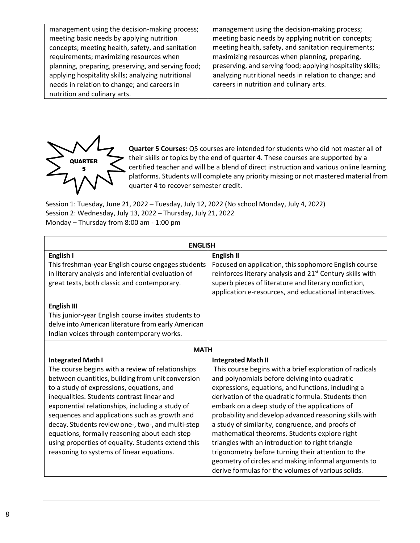| management using the decision-making process;      | management using the decision-making process;              |
|----------------------------------------------------|------------------------------------------------------------|
| meeting basic needs by applying nutrition          | meeting basic needs by applying nutrition concepts;        |
| concepts; meeting health, safety, and sanitation   | meeting health, safety, and sanitation requirements;       |
| requirements; maximizing resources when            | maximizing resources when planning, preparing,             |
| planning, preparing, preserving, and serving food; | preserving, and serving food; applying hospitality skills; |
| applying hospitality skills; analyzing nutritional | analyzing nutritional needs in relation to change; and     |
| needs in relation to change; and careers in        | careers in nutrition and culinary arts.                    |
| nutrition and culinary arts.                       |                                                            |



**Quarter 5 Courses:** Q5 courses are intended for students who did not master all of their skills or topics by the end of quarter 4. These courses are supported by a certified teacher and will be a blend of direct instruction and various online learning platforms. Students will complete any priority missing or not mastered material from quarter 4 to recover semester credit.

Session 1: Tuesday, June 21, 2022 – Tuesday, July 12, 2022 (No school Monday, July 4, 2022) Session 2: Wednesday, July 13, 2022 – Thursday, July 21, 2022 Monday – Thursday from 8:00 am - 1:00 pm

| <b>ENGLISH</b>                                      |                                                                       |  |
|-----------------------------------------------------|-----------------------------------------------------------------------|--|
| English I                                           | English II                                                            |  |
| This freshman-year English course engages students  | Focused on application, this sophomore English course                 |  |
| in literary analysis and inferential evaluation of  | reinforces literary analysis and 21 <sup>st</sup> Century skills with |  |
| great texts, both classic and contemporary.         | superb pieces of literature and literary nonfiction,                  |  |
|                                                     | application e-resources, and educational interactives.                |  |
| <b>English III</b>                                  |                                                                       |  |
| This junior-year English course invites students to |                                                                       |  |
| delve into American literature from early American  |                                                                       |  |
| Indian voices through contemporary works.           |                                                                       |  |
| <b>MATH</b>                                         |                                                                       |  |
| <b>Integrated Math I</b>                            | <b>Integrated Math II</b>                                             |  |
| The course begins with a review of relationships    | This course begins with a brief exploration of radicals               |  |
| between quantities, building from unit conversion   | and polynomials before delving into quadratic                         |  |
| to a study of expressions, equations, and           | expressions, equations, and functions, including a                    |  |
| inequalities. Students contrast linear and          | derivation of the quadratic formula. Students then                    |  |
| exponential relationships, including a study of     | embark on a deep study of the applications of                         |  |
| sequences and applications such as growth and       | probability and develop advanced reasoning skills with                |  |
| decay. Students review one-, two-, and multi-step   | a study of similarity, congruence, and proofs of                      |  |
| equations, formally reasoning about each step       | mathematical theorems. Students explore right                         |  |
| using properties of equality. Students extend this  | triangles with an introduction to right triangle                      |  |
| reasoning to systems of linear equations.           | trigonometry before turning their attention to the                    |  |
|                                                     | geometry of circles and making informal arguments to                  |  |
|                                                     | derive formulas for the volumes of various solids.                    |  |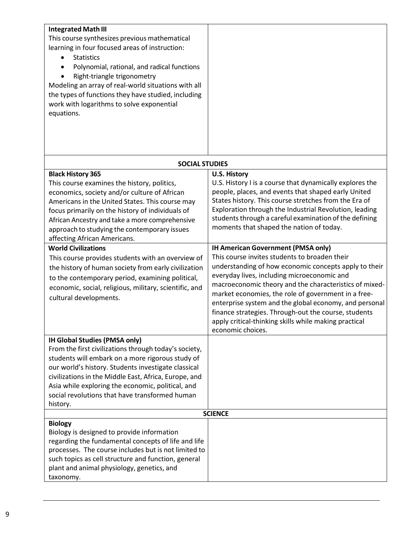| <b>Integrated Math III</b><br>This course synthesizes previous mathematical<br>learning in four focused areas of instruction:<br><b>Statistics</b><br>Polynomial, rational, and radical functions<br>Right-triangle trigonometry<br>Modeling an array of real-world situations with all<br>the types of functions they have studied, including<br>work with logarithms to solve exponential<br>equations. |                                                                                                                                                                                                                                                                                                                                                                                                                                                                                                              |
|-----------------------------------------------------------------------------------------------------------------------------------------------------------------------------------------------------------------------------------------------------------------------------------------------------------------------------------------------------------------------------------------------------------|--------------------------------------------------------------------------------------------------------------------------------------------------------------------------------------------------------------------------------------------------------------------------------------------------------------------------------------------------------------------------------------------------------------------------------------------------------------------------------------------------------------|
|                                                                                                                                                                                                                                                                                                                                                                                                           |                                                                                                                                                                                                                                                                                                                                                                                                                                                                                                              |
| <b>SOCIAL STUDIES</b>                                                                                                                                                                                                                                                                                                                                                                                     |                                                                                                                                                                                                                                                                                                                                                                                                                                                                                                              |
| <b>Black History 365</b><br>This course examines the history, politics,<br>economics, society and/or culture of African<br>Americans in the United States. This course may<br>focus primarily on the history of individuals of<br>African Ancestry and take a more comprehensive<br>approach to studying the contemporary issues<br>affecting African Americans.                                          | <b>U.S. History</b><br>U.S. History I is a course that dynamically explores the<br>people, places, and events that shaped early United<br>States history. This course stretches from the Era of<br>Exploration through the Industrial Revolution, leading<br>students through a careful examination of the defining<br>moments that shaped the nation of today.                                                                                                                                              |
| <b>World Civilizations</b><br>This course provides students with an overview of<br>the history of human society from early civilization<br>to the contemporary period, examining political,<br>economic, social, religious, military, scientific, and<br>cultural developments.                                                                                                                           | IH American Government (PMSA only)<br>This course invites students to broaden their<br>understanding of how economic concepts apply to their<br>everyday lives, including microeconomic and<br>macroeconomic theory and the characteristics of mixed-<br>market economies, the role of government in a free-<br>enterprise system and the global economy, and personal<br>finance strategies. Through-out the course, students<br>apply critical-thinking skills while making practical<br>economic choices. |
| IH Global Studies (PMSA only)<br>From the first civilizations through today's society,<br>students will embark on a more rigorous study of<br>our world's history. Students investigate classical<br>civilizations in the Middle East, Africa, Europe, and<br>Asia while exploring the economic, political, and<br>social revolutions that have transformed human                                         |                                                                                                                                                                                                                                                                                                                                                                                                                                                                                                              |
| history.                                                                                                                                                                                                                                                                                                                                                                                                  |                                                                                                                                                                                                                                                                                                                                                                                                                                                                                                              |
|                                                                                                                                                                                                                                                                                                                                                                                                           | <b>SCIENCE</b>                                                                                                                                                                                                                                                                                                                                                                                                                                                                                               |
| <b>Biology</b><br>Biology is designed to provide information<br>regarding the fundamental concepts of life and life<br>processes. The course includes but is not limited to<br>such topics as cell structure and function, general<br>plant and animal physiology, genetics, and<br>taxonomy.                                                                                                             |                                                                                                                                                                                                                                                                                                                                                                                                                                                                                                              |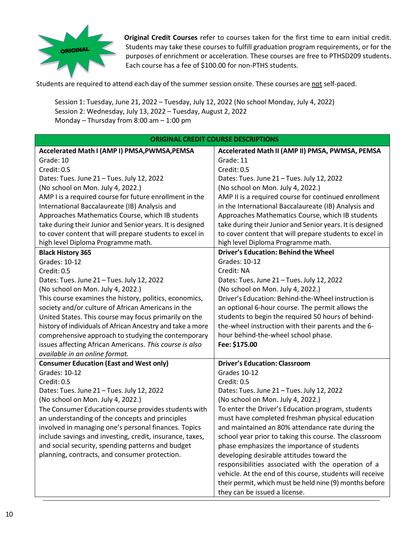

**Original Credit Courses** refer to courses taken for the first time to earn initial credit. Students may take these courses to fulfill graduation program requirements, or for the purposes of enrichment or acceleration. These courses are free to PTHSD209 students. Each course has a fee of \$100.00 for non-PTHS students.

Students are required to attend each day of the summer session onsite. These courses are not self-paced.

Session 1: Tuesday, June 21, 2022 – Tuesday, July 12, 2022 (No school Monday, July 4, 2022) Session 2: Wednesday, July 13, 2022 – Tuesday, August 2, 2022 Monday – Thursday from 8:00 am – 1:00 pm

| <b>ORIGINAL CREDIT COURSE DESCRIPTIONS</b>                 |                                                           |  |
|------------------------------------------------------------|-----------------------------------------------------------|--|
| Accelerated Math I (AMP I) PMSA, PWMSA, PEMSA              | Accelerated Math II (AMP II) PMSA, PWMSA, PEMSA           |  |
| Grade: 10                                                  | Grade: 11                                                 |  |
| Credit: 0.5                                                | Credit: 0.5                                               |  |
| Dates: Tues. June 21 - Tues. July 12, 2022                 | Dates: Tues. June 21 - Tues. July 12, 2022                |  |
| (No school on Mon. July 4, 2022.)                          | (No school on Mon. July 4, 2022.)                         |  |
| AMP I is a required course for future enrollment in the    | AMP II is a required course for continued enrollment      |  |
| International Baccalaureate (IB) Analysis and              | in the International Baccalaureate (IB) Analysis and      |  |
| Approaches Mathematics Course, which IB students           | Approaches Mathematics Course, which IB students          |  |
| take during their Junior and Senior years. It is designed  | take during their Junior and Senior years. It is designed |  |
| to cover content that will prepare students to excel in    | to cover content that will prepare students to excel in   |  |
| high level Diploma Programme math.                         | high level Diploma Programme math.                        |  |
| <b>Black History 365</b>                                   | <b>Driver's Education: Behind the Wheel</b>               |  |
| <b>Grades: 10-12</b>                                       | Grades: 10-12                                             |  |
| Credit: 0.5                                                | Credit: NA                                                |  |
| Dates: Tues. June 21 - Tues. July 12, 2022                 | Dates: Tues. June 21 - Tues. July 12, 2022                |  |
| (No school on Mon. July 4, 2022.)                          | (No school on Mon. July 4, 2022.)                         |  |
| This course examines the history, politics, economics,     | Driver's Education: Behind-the-Wheel instruction is       |  |
| society and/or culture of African Americans in the         | an optional 6-hour course. The permit allows the          |  |
| United States. This course may focus primarily on the      | students to begin the required 50 hours of behind-        |  |
| history of individuals of African Ancestry and take a more | the-wheel instruction with their parents and the 6-       |  |
| comprehensive approach to studying the contemporary        | hour behind-the-wheel school phase.                       |  |
| issues affecting African Americans. This course is also    | Fee: \$175.00                                             |  |
| available in an online format.                             |                                                           |  |
| <b>Consumer Education (East and West only)</b>             | <b>Driver's Education: Classroom</b>                      |  |
| Grades: 10-12                                              | Grades 10-12                                              |  |
| Credit: 0.5                                                | Credit: 0.5                                               |  |
| Dates: Tues. June 21 - Tues. July 12, 2022                 | Dates: Tues. June 21 - Tues. July 12, 2022                |  |
| (No school on Mon. July 4, 2022.)                          | (No school on Mon. July 4, 2022.)                         |  |
| The Consumer Education course provides students with       | To enter the Driver's Education program, students         |  |
| an understanding of the concepts and principles            | must have completed freshman physical education           |  |
| involved in managing one's personal finances. Topics       | and maintained an 80% attendance rate during the          |  |
| include savings and investing, credit, insurance, taxes,   | school year prior to taking this course. The classroom    |  |
| and social security, spending patterns and budget          | phase emphasizes the importance of students               |  |
| planning, contracts, and consumer protection.              | developing desirable attitudes toward the                 |  |
|                                                            | responsibilities associated with the operation of a       |  |
|                                                            | vehicle. At the end of this course, students will receive |  |
|                                                            | their permit, which must be held nine (9) months before   |  |
|                                                            | they can be issued a license.                             |  |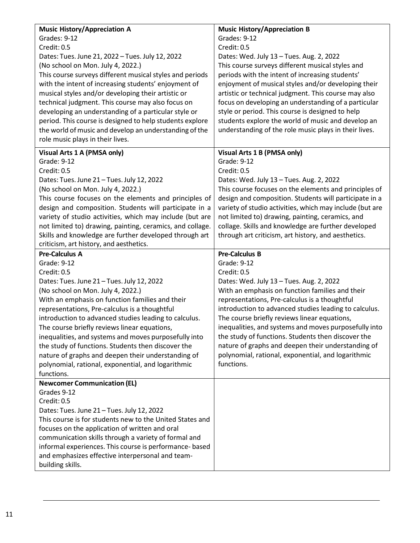| <b>Music History/Appreciation A</b>                                  | <b>Music History/Appreciation B</b>                      |
|----------------------------------------------------------------------|----------------------------------------------------------|
| Grades: 9-12                                                         | Grades: 9-12                                             |
| Credit: 0.5                                                          | Credit: 0.5                                              |
| Dates: Tues. June 21, 2022 - Tues. July 12, 2022                     | Dates: Wed. July 13 - Tues. Aug. 2, 2022                 |
| (No school on Mon. July 4, 2022.)                                    | This course surveys different musical styles and         |
| This course surveys different musical styles and periods             | periods with the intent of increasing students'          |
| with the intent of increasing students' enjoyment of                 | enjoyment of musical styles and/or developing their      |
| musical styles and/or developing their artistic or                   | artistic or technical judgment. This course may also     |
| technical judgment. This course may also focus on                    | focus on developing an understanding of a particular     |
| developing an understanding of a particular style or                 | style or period. This course is designed to help         |
| period. This course is designed to help students explore             | students explore the world of music and develop an       |
| the world of music and develop an understanding of the               | understanding of the role music plays in their lives.    |
| role music plays in their lives.                                     |                                                          |
| Visual Arts 1 A (PMSA only)                                          | Visual Arts 1 B (PMSA only)                              |
| Grade: 9-12                                                          | Grade: 9-12                                              |
| Credit: 0.5                                                          | Credit: 0.5                                              |
| Dates: Tues. June 21 - Tues. July 12, 2022                           | Dates: Wed. July 13 - Tues. Aug. 2, 2022                 |
| (No school on Mon. July 4, 2022.)                                    | This course focuses on the elements and principles of    |
| This course focuses on the elements and principles of                | design and composition. Students will participate in a   |
| design and composition. Students will participate in a               | variety of studio activities, which may include (but are |
| variety of studio activities, which may include (but are             | not limited to) drawing, painting, ceramics, and         |
| not limited to) drawing, painting, ceramics, and collage.            | collage. Skills and knowledge are further developed      |
| Skills and knowledge are further developed through art               | through art criticism, art history, and aesthetics.      |
| criticism, art history, and aesthetics.                              |                                                          |
|                                                                      |                                                          |
| <b>Pre-Calculus A</b>                                                | <b>Pre-Calculus B</b>                                    |
| Grade: 9-12                                                          | Grade: 9-12                                              |
| Credit: 0.5                                                          | Credit: 0.5                                              |
| Dates: Tues. June 21 - Tues. July 12, 2022                           | Dates: Wed. July 13 - Tues. Aug. 2, 2022                 |
| (No school on Mon. July 4, 2022.)                                    | With an emphasis on function families and their          |
| With an emphasis on function families and their                      | representations, Pre-calculus is a thoughtful            |
| representations, Pre-calculus is a thoughtful                        | introduction to advanced studies leading to calculus.    |
| introduction to advanced studies leading to calculus.                | The course briefly reviews linear equations,             |
| The course briefly reviews linear equations,                         | inequalities, and systems and moves purposefully into    |
| inequalities, and systems and moves purposefully into                | the study of functions. Students then discover the       |
| the study of functions. Students then discover the                   | nature of graphs and deepen their understanding of       |
| nature of graphs and deepen their understanding of                   | polynomial, rational, exponential, and logarithmic       |
| polynomial, rational, exponential, and logarithmic                   | functions.                                               |
| functions.                                                           |                                                          |
| <b>Newcomer Communication (EL)</b>                                   |                                                          |
| Grades 9-12                                                          |                                                          |
| Credit: 0.5                                                          |                                                          |
| Dates: Tues. June 21 - Tues. July 12, 2022                           |                                                          |
| This course is for students new to the United States and             |                                                          |
| focuses on the application of written and oral                       |                                                          |
| communication skills through a variety of formal and                 |                                                          |
| informal experiences. This course is performance- based              |                                                          |
| and emphasizes effective interpersonal and team-<br>building skills. |                                                          |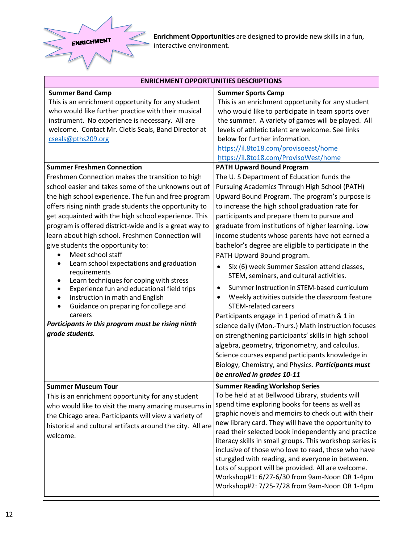

**Enrichment Opportunities** are designed to provide new skills in a fun, interactive environment.

| <b>ENRICHMENT OPPORTUNITIES DESCRIPTIONS</b>                                                                                                                                                                                                                                                                                                                                                                                                                                                                                                                                                                                                                                                                                                                                                                                                                                                                                                                                                                                                                                                                              |                                                                                                                                                                                                                                                                                                                                                                                                                                                                                                                                                                                                                                                                                                                                                                                                                                                                                                                                                                                                                                                                                                                                                                                                                                                                                                                                                                                                    |  |
|---------------------------------------------------------------------------------------------------------------------------------------------------------------------------------------------------------------------------------------------------------------------------------------------------------------------------------------------------------------------------------------------------------------------------------------------------------------------------------------------------------------------------------------------------------------------------------------------------------------------------------------------------------------------------------------------------------------------------------------------------------------------------------------------------------------------------------------------------------------------------------------------------------------------------------------------------------------------------------------------------------------------------------------------------------------------------------------------------------------------------|----------------------------------------------------------------------------------------------------------------------------------------------------------------------------------------------------------------------------------------------------------------------------------------------------------------------------------------------------------------------------------------------------------------------------------------------------------------------------------------------------------------------------------------------------------------------------------------------------------------------------------------------------------------------------------------------------------------------------------------------------------------------------------------------------------------------------------------------------------------------------------------------------------------------------------------------------------------------------------------------------------------------------------------------------------------------------------------------------------------------------------------------------------------------------------------------------------------------------------------------------------------------------------------------------------------------------------------------------------------------------------------------------|--|
| <b>Summer Band Camp</b><br>This is an enrichment opportunity for any student<br>who would like further practice with their musical<br>instrument. No experience is necessary. All are<br>welcome. Contact Mr. Cletis Seals, Band Director at<br>cseals@pths209.org<br><b>Summer Freshmen Connection</b><br>Freshmen Connection makes the transition to high<br>school easier and takes some of the unknowns out of<br>the high school experience. The fun and free program<br>offers rising ninth grade students the opportunity to<br>get acquainted with the high school experience. This<br>program is offered district-wide and is a great way to<br>learn about high school. Freshmen Connection will<br>give students the opportunity to:<br>Meet school staff<br>Learn school expectations and graduation<br>٠<br>requirements<br>Learn techniques for coping with stress<br>٠<br>Experience fun and educational field trips<br>٠<br>Instruction in math and English<br>$\bullet$<br>Guidance on preparing for college and<br>٠<br>careers<br>Participants in this program must be rising ninth<br>grade students. | <b>Summer Sports Camp</b><br>This is an enrichment opportunity for any student<br>who would like to participate in team sports over<br>the summer. A variety of games will be played. All<br>levels of athletic talent are welcome. See links<br>below for further information.<br>https://il.8to18.com/provisoeast/home<br>https://il.8to18.com/ProvisoWest/home<br><b>PATH Upward Bound Program</b><br>The U. S Department of Education funds the<br>Pursuing Academics Through High School (PATH)<br>Upward Bound Program. The program's purpose is<br>to increase the high school graduation rate for<br>participants and prepare them to pursue and<br>graduate from institutions of higher learning. Low<br>income students whose parents have not earned a<br>bachelor's degree are eligible to participate in the<br>PATH Upward Bound program.<br>Six (6) week Summer Session attend classes,<br>$\bullet$<br>STEM, seminars, and cultural activities.<br>Summer Instruction in STEM-based curriculum<br>$\bullet$<br>Weekly activities outside the classroom feature<br>$\bullet$<br><b>STEM-related careers</b><br>Participants engage in 1 period of math & 1 in<br>science daily (Mon.-Thurs.) Math instruction focuses<br>on strengthening participants' skills in high school<br>algebra, geometry, trigonometry, and calculus.<br>Science courses expand participants knowledge in |  |
|                                                                                                                                                                                                                                                                                                                                                                                                                                                                                                                                                                                                                                                                                                                                                                                                                                                                                                                                                                                                                                                                                                                           | Biology, Chemistry, and Physics. Participants must<br>be enrolled in grades 10-11                                                                                                                                                                                                                                                                                                                                                                                                                                                                                                                                                                                                                                                                                                                                                                                                                                                                                                                                                                                                                                                                                                                                                                                                                                                                                                                  |  |
| <b>Summer Museum Tour</b><br>This is an enrichment opportunity for any student<br>who would like to visit the many amazing museums in<br>the Chicago area. Participants will view a variety of<br>historical and cultural artifacts around the city. All are<br>welcome.                                                                                                                                                                                                                                                                                                                                                                                                                                                                                                                                                                                                                                                                                                                                                                                                                                                  | <b>Summer Reading Workshop Series</b><br>To be held at at Bellwood Library, students will<br>spend time exploring books for teens as well as<br>graphic novels and memoirs to check out with their<br>new library card. They will have the opportunity to<br>read their selected book independently and practice<br>literacy skills in small groups. This workshop series is<br>inclusive of those who love to read, those who have<br>sturggled with reading, and everyone in between.<br>Lots of support will be provided. All are welcome.<br>Workshop#1: 6/27-6/30 from 9am-Noon OR 1-4pm<br>Workshop#2: 7/25-7/28 from 9am-Noon OR 1-4pm                                                                                                                                                                                                                                                                                                                                                                                                                                                                                                                                                                                                                                                                                                                                                      |  |